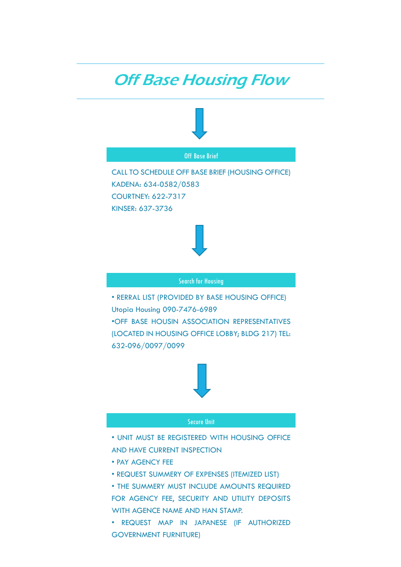## **Off Base Housing Flow**



GOVERNMENT FURNITURE)